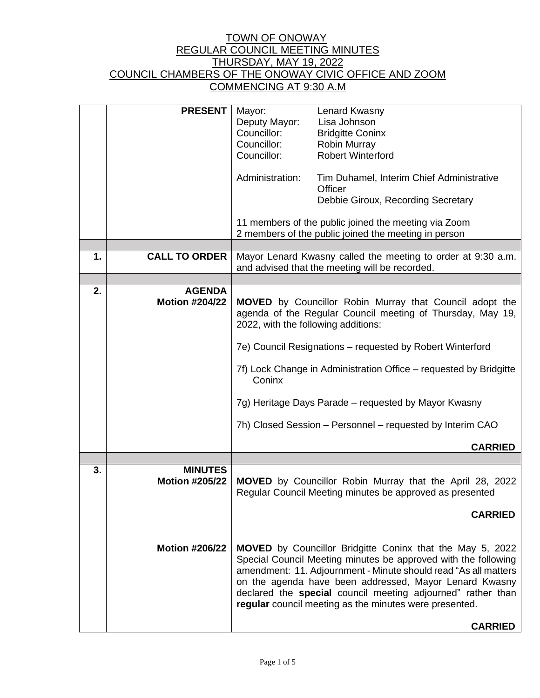|    | <b>PRESENT</b>                          | Mayor:<br>Deputy Mayor:<br>Councillor:<br>Councillor:<br>Councillor:<br>Administration:                                                                                                                                                                                                                                                                                                                                                                | Lenard Kwasny<br>Lisa Johnson<br><b>Bridgitte Coninx</b><br>Robin Murray<br><b>Robert Winterford</b><br>Tim Duhamel, Interim Chief Administrative<br>Officer<br>Debbie Giroux, Recording Secretary<br>11 members of the public joined the meeting via Zoom                                                                                                                               |  |
|----|-----------------------------------------|--------------------------------------------------------------------------------------------------------------------------------------------------------------------------------------------------------------------------------------------------------------------------------------------------------------------------------------------------------------------------------------------------------------------------------------------------------|------------------------------------------------------------------------------------------------------------------------------------------------------------------------------------------------------------------------------------------------------------------------------------------------------------------------------------------------------------------------------------------|--|
|    |                                         | 2 members of the public joined the meeting in person                                                                                                                                                                                                                                                                                                                                                                                                   |                                                                                                                                                                                                                                                                                                                                                                                          |  |
| 1. | <b>CALL TO ORDER</b>                    | Mayor Lenard Kwasny called the meeting to order at 9:30 a.m.<br>and advised that the meeting will be recorded.                                                                                                                                                                                                                                                                                                                                         |                                                                                                                                                                                                                                                                                                                                                                                          |  |
|    |                                         |                                                                                                                                                                                                                                                                                                                                                                                                                                                        |                                                                                                                                                                                                                                                                                                                                                                                          |  |
| 2. | <b>AGENDA</b><br><b>Motion #204/22</b>  | <b>MOVED</b> by Councillor Robin Murray that Council adopt the<br>agenda of the Regular Council meeting of Thursday, May 19,<br>2022, with the following additions:<br>7e) Council Resignations - requested by Robert Winterford<br>7f) Lock Change in Administration Office – requested by Bridgitte<br>Coninx<br>7g) Heritage Days Parade – requested by Mayor Kwasny<br>7h) Closed Session – Personnel – requested by Interim CAO<br><b>CARRIED</b> |                                                                                                                                                                                                                                                                                                                                                                                          |  |
|    |                                         |                                                                                                                                                                                                                                                                                                                                                                                                                                                        |                                                                                                                                                                                                                                                                                                                                                                                          |  |
| 3. | <b>MINUTES</b><br><b>Motion #205/22</b> | <b>MOVED</b> by Councillor Robin Murray that the April 28, 2022<br>Regular Council Meeting minutes be approved as presented<br><b>CARRIED</b>                                                                                                                                                                                                                                                                                                          |                                                                                                                                                                                                                                                                                                                                                                                          |  |
|    | <b>Motion #206/22</b>                   |                                                                                                                                                                                                                                                                                                                                                                                                                                                        | <b>MOVED</b> by Councillor Bridgitte Coninx that the May 5, 2022<br>Special Council Meeting minutes be approved with the following<br>amendment: 11. Adjournment - Minute should read "As all matters<br>on the agenda have been addressed, Mayor Lenard Kwasny<br>declared the special council meeting adjourned" rather than<br>regular council meeting as the minutes were presented. |  |
|    |                                         |                                                                                                                                                                                                                                                                                                                                                                                                                                                        | <b>CARRIED</b>                                                                                                                                                                                                                                                                                                                                                                           |  |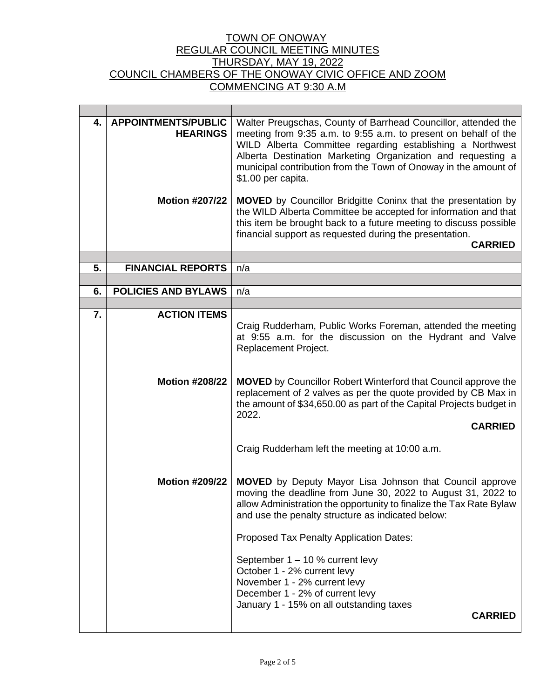| 4. | <b>APPOINTMENTS/PUBLIC</b><br><b>HEARINGS</b> | Walter Preugschas, County of Barrhead Councillor, attended the<br>meeting from 9:35 a.m. to 9:55 a.m. to present on behalf of the<br>WILD Alberta Committee regarding establishing a Northwest<br>Alberta Destination Marketing Organization and requesting a<br>municipal contribution from the Town of Onoway in the amount of<br>\$1.00 per capita. |  |  |  |
|----|-----------------------------------------------|--------------------------------------------------------------------------------------------------------------------------------------------------------------------------------------------------------------------------------------------------------------------------------------------------------------------------------------------------------|--|--|--|
|    | <b>Motion #207/22</b>                         | <b>MOVED</b> by Councillor Bridgitte Coninx that the presentation by<br>the WILD Alberta Committee be accepted for information and that<br>this item be brought back to a future meeting to discuss possible<br>financial support as requested during the presentation.<br><b>CARRIED</b>                                                              |  |  |  |
|    |                                               |                                                                                                                                                                                                                                                                                                                                                        |  |  |  |
| 5. | <b>FINANCIAL REPORTS</b>                      | n/a                                                                                                                                                                                                                                                                                                                                                    |  |  |  |
| 6. | <b>POLICIES AND BYLAWS</b>                    | n/a                                                                                                                                                                                                                                                                                                                                                    |  |  |  |
|    |                                               |                                                                                                                                                                                                                                                                                                                                                        |  |  |  |
| 7. | <b>ACTION ITEMS</b>                           | Craig Rudderham, Public Works Foreman, attended the meeting<br>at 9:55 a.m. for the discussion on the Hydrant and Valve<br>Replacement Project.                                                                                                                                                                                                        |  |  |  |
|    | <b>Motion #208/22</b>                         | <b>MOVED</b> by Councillor Robert Winterford that Council approve the<br>replacement of 2 valves as per the quote provided by CB Max in<br>the amount of \$34,650.00 as part of the Capital Projects budget in<br>2022.<br><b>CARRIED</b>                                                                                                              |  |  |  |
|    |                                               | Craig Rudderham left the meeting at 10:00 a.m.                                                                                                                                                                                                                                                                                                         |  |  |  |
|    | <b>Motion #209/22</b>                         | <b>MOVED</b> by Deputy Mayor Lisa Johnson that Council approve<br>moving the deadline from June 30, 2022 to August 31, 2022 to<br>allow Administration the opportunity to finalize the Tax Rate Bylaw<br>and use the penalty structure as indicated below:                                                                                             |  |  |  |
|    |                                               | Proposed Tax Penalty Application Dates:                                                                                                                                                                                                                                                                                                                |  |  |  |
|    |                                               | September 1 – 10 % current levy<br>October 1 - 2% current levy<br>November 1 - 2% current levy<br>December 1 - 2% of current levy<br>January 1 - 15% on all outstanding taxes<br><b>CARRIED</b>                                                                                                                                                        |  |  |  |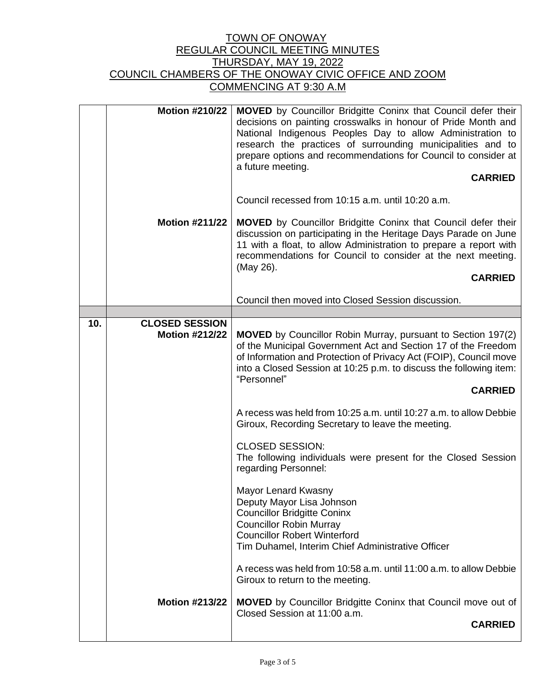| <b>Motion #210/22</b><br>a future meeting.<br><b>Motion #211/22</b> |                                                | <b>MOVED</b> by Councillor Bridgitte Coninx that Council defer their<br>decisions on painting crosswalks in honour of Pride Month and<br>National Indigenous Peoples Day to allow Administration to<br>research the practices of surrounding municipalities and to<br>prepare options and recommendations for Council to consider at<br><b>CARRIED</b><br>Council recessed from 10:15 a.m. until 10:20 a.m.<br><b>MOVED</b> by Councillor Bridgitte Coninx that Council defer their<br>discussion on participating in the Heritage Days Parade on June<br>11 with a float, to allow Administration to prepare a report with<br>recommendations for Council to consider at the next meeting. |  |
|---------------------------------------------------------------------|------------------------------------------------|---------------------------------------------------------------------------------------------------------------------------------------------------------------------------------------------------------------------------------------------------------------------------------------------------------------------------------------------------------------------------------------------------------------------------------------------------------------------------------------------------------------------------------------------------------------------------------------------------------------------------------------------------------------------------------------------|--|
|                                                                     |                                                | (May 26).<br><b>CARRIED</b>                                                                                                                                                                                                                                                                                                                                                                                                                                                                                                                                                                                                                                                                 |  |
|                                                                     |                                                | Council then moved into Closed Session discussion.                                                                                                                                                                                                                                                                                                                                                                                                                                                                                                                                                                                                                                          |  |
|                                                                     |                                                |                                                                                                                                                                                                                                                                                                                                                                                                                                                                                                                                                                                                                                                                                             |  |
| 10.                                                                 | <b>CLOSED SESSION</b><br><b>Motion #212/22</b> | <b>MOVED</b> by Councillor Robin Murray, pursuant to Section 197(2)<br>of the Municipal Government Act and Section 17 of the Freedom<br>of Information and Protection of Privacy Act (FOIP), Council move<br>into a Closed Session at 10:25 p.m. to discuss the following item:<br>"Personnel"<br><b>CARRIED</b>                                                                                                                                                                                                                                                                                                                                                                            |  |
|                                                                     |                                                | A recess was held from 10:25 a.m. until 10:27 a.m. to allow Debbie<br>Giroux, Recording Secretary to leave the meeting.                                                                                                                                                                                                                                                                                                                                                                                                                                                                                                                                                                     |  |
|                                                                     |                                                | <b>CLOSED SESSION:</b><br>The following individuals were present for the Closed Session<br>regarding Personnel:                                                                                                                                                                                                                                                                                                                                                                                                                                                                                                                                                                             |  |
|                                                                     |                                                | Mayor Lenard Kwasny<br>Deputy Mayor Lisa Johnson<br><b>Councillor Bridgitte Coninx</b><br><b>Councillor Robin Murray</b><br><b>Councillor Robert Winterford</b><br>Tim Duhamel, Interim Chief Administrative Officer                                                                                                                                                                                                                                                                                                                                                                                                                                                                        |  |
|                                                                     |                                                | A recess was held from 10:58 a.m. until 11:00 a.m. to allow Debbie<br>Giroux to return to the meeting.                                                                                                                                                                                                                                                                                                                                                                                                                                                                                                                                                                                      |  |
|                                                                     | <b>Motion #213/22</b>                          | <b>MOVED</b> by Councillor Bridgitte Coninx that Council move out of<br>Closed Session at 11:00 a.m.<br><b>CARRIED</b>                                                                                                                                                                                                                                                                                                                                                                                                                                                                                                                                                                      |  |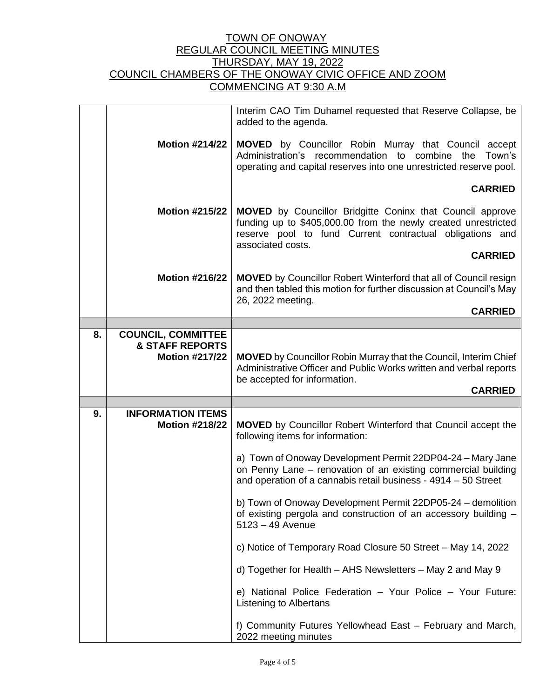|    |                                                                                  | Interim CAO Tim Duhamel requested that Reserve Collapse, be<br>added to the agenda.                                                                                                                                 |  |  |
|----|----------------------------------------------------------------------------------|---------------------------------------------------------------------------------------------------------------------------------------------------------------------------------------------------------------------|--|--|
|    | <b>Motion #214/22</b>                                                            | <b>MOVED</b> by Councillor Robin Murray that Council accept<br>Administration's recommendation to combine<br>the Town's<br>operating and capital reserves into one unrestricted reserve pool.                       |  |  |
|    |                                                                                  | <b>CARRIED</b>                                                                                                                                                                                                      |  |  |
|    | <b>Motion #215/22</b>                                                            | <b>MOVED</b> by Councillor Bridgitte Coninx that Council approve<br>funding up to \$405,000.00 from the newly created unrestricted<br>reserve pool to fund Current contractual obligations and<br>associated costs. |  |  |
|    |                                                                                  | <b>CARRIED</b>                                                                                                                                                                                                      |  |  |
|    | <b>Motion #216/22</b>                                                            | <b>MOVED</b> by Councillor Robert Winterford that all of Council resign<br>and then tabled this motion for further discussion at Council's May<br>26, 2022 meeting.                                                 |  |  |
|    |                                                                                  | <b>CARRIED</b>                                                                                                                                                                                                      |  |  |
|    |                                                                                  |                                                                                                                                                                                                                     |  |  |
| 8. | <b>COUNCIL, COMMITTEE</b><br><b>&amp; STAFF REPORTS</b><br><b>Motion #217/22</b> | <b>MOVED</b> by Councillor Robin Murray that the Council, Interim Chief<br>Administrative Officer and Public Works written and verbal reports                                                                       |  |  |
|    |                                                                                  |                                                                                                                                                                                                                     |  |  |
|    |                                                                                  | be accepted for information.<br><b>CARRIED</b>                                                                                                                                                                      |  |  |
|    |                                                                                  |                                                                                                                                                                                                                     |  |  |
| 9. | <b>INFORMATION ITEMS</b><br><b>Motion #218/22</b>                                | <b>MOVED</b> by Councillor Robert Winterford that Council accept the<br>following items for information:                                                                                                            |  |  |
|    |                                                                                  | a) Town of Onoway Development Permit 22DP04-24 - Mary Jane<br>on Penny Lane - renovation of an existing commercial building<br>and operation of a cannabis retail business - 4914 - 50 Street                       |  |  |
|    |                                                                                  | b) Town of Onoway Development Permit 22DP05-24 – demolition<br>of existing pergola and construction of an accessory building -<br>$5123 - 49$ Avenue                                                                |  |  |
|    |                                                                                  | c) Notice of Temporary Road Closure 50 Street - May 14, 2022                                                                                                                                                        |  |  |
|    |                                                                                  | d) Together for Health – AHS Newsletters – May 2 and May 9                                                                                                                                                          |  |  |
|    |                                                                                  | e) National Police Federation - Your Police - Your Future:<br>Listening to Albertans                                                                                                                                |  |  |